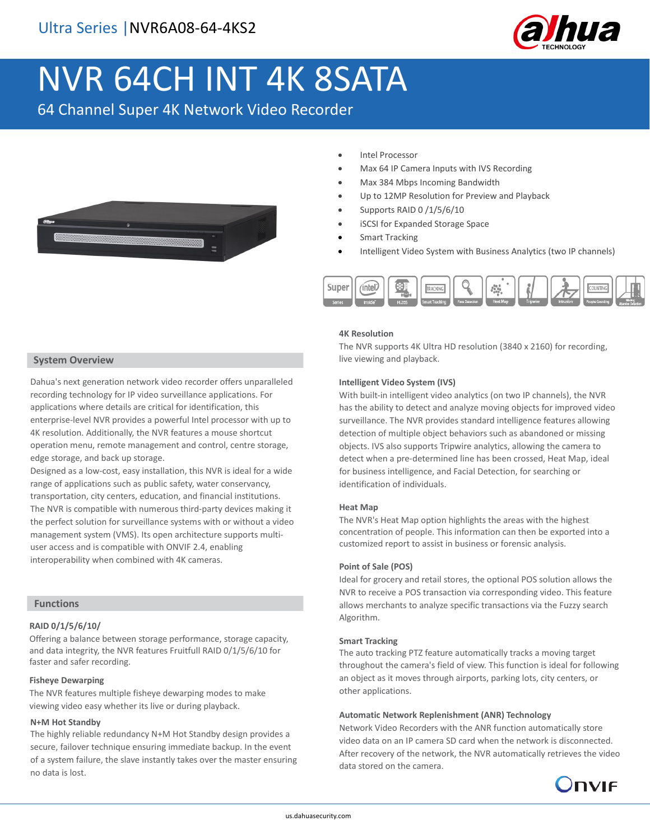

# NVR 64CH INT 4K 8SATA

64 Channel Super 4K Network Video Recorder



- Intel Processor
- Max 64 IP Camera Inputs with IVS Recording
- Max 384 Mbps Incoming Bandwidth
- Up to 12MP Resolution for Preview and Playback
- Supports RAID 0 /1/5/6/10
- iSCSI for Expanded Storage Space
- **Smart Tracking**
- Intelligent Video System with Business Analytics (two IP channels)



#### **4K Resolution**

The NVR supports 4K Ultra HD resolution (3840 x 2160) for recording, live viewing and playback.

#### **Intelligent Video System (IVS)**

With built-in intelligent video analytics (on two IP channels), the NVR has the ability to detect and analyze moving objects for improved video surveillance. The NVR provides standard intelligence features allowing detection of multiple object behaviors such as abandoned or missing objects. IVS also supports Tripwire analytics, allowing the camera to detect when a pre-determined line has been crossed, Heat Map, ideal for business intelligence, and Facial Detection, for searching or identification of individuals.

#### **Heat Map**

The NVR's Heat Map option highlights the areas with the highest concentration of people. This information can then be exported into a customized report to assist in business or forensic analysis.

#### **Point of Sale (POS)**

Ideal for grocery and retail stores, the optional POS solution allows the NVR to receive a POS transaction via corresponding video. This feature allows merchants to analyze specific transactions via the Fuzzy search Algorithm.

#### **Smart Tracking**

The auto tracking PTZ feature automatically tracks a moving target throughout the camera's field of view. This function is ideal for following an object as it moves through airports, parking lots, city centers, or other applications.

#### **Automatic Network Replenishment (ANR) Technology**

Network Video Recorders with the ANR function automatically store video data on an IP camera SD card when the network is disconnected. After recovery of the network, the NVR automatically retrieves the video data stored on the camera.



#### **System Overview**

Dahua's next generation network video recorder offers unparalleled recording technology for IP video surveillance applications. For applications where details are critical for identification, this enterprise-level NVR provides a powerful Intel processor with up to 4K resolution. Additionally, the NVR features a mouse shortcut operation menu, remote management and control, centre storage, edge storage, and back up storage.

Designed as a low-cost, easy installation, this NVR is ideal for a wide range of applications such as public safety, water conservancy, transportation, city centers, education, and financial institutions. The NVR is compatible with numerous third-party devices making it the perfect solution for surveillance systems with or without a video management system (VMS). Its open architecture supports multiuser access and is compatible with ONVIF 2.4, enabling interoperability when combined with 4K cameras.

#### **Functions**

#### **RAID 0/1/5/6/10/**

Offering a balance between storage performance, storage capacity, and data integrity, the NVR features Fruitfull RAID 0/1/5/6/10 for faster and safer recording.

#### **Fisheye Dewarping**

The NVR features multiple fisheye dewarping modes to make viewing video easy whether its live or during playback.

#### **N+M Hot Standby**

The highly reliable redundancy N+M Hot Standby design provides a secure, failover technique ensuring immediate backup. In the event of a system failure, the slave instantly takes over the master ensuring no data is lost.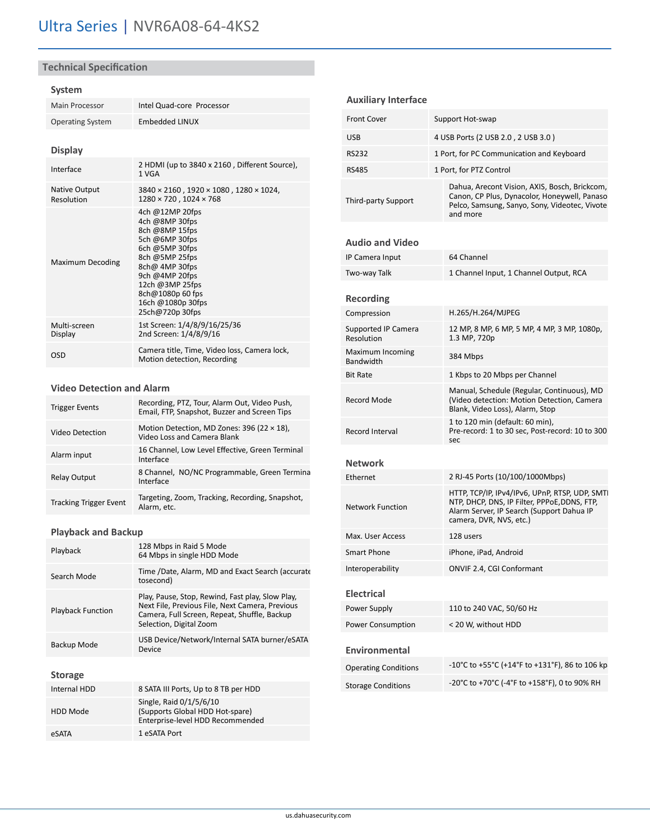#### **Technical Specification**

#### **System**

| Main Processor                     | Intel Quad-core Processor                                                                                                                                                                                                    |  |
|------------------------------------|------------------------------------------------------------------------------------------------------------------------------------------------------------------------------------------------------------------------------|--|
| <b>Operating System</b>            | Embedded LINUX                                                                                                                                                                                                               |  |
| <b>Display</b>                     |                                                                                                                                                                                                                              |  |
| Interface                          | 2 HDMI (up to 3840 x 2160, Different Source),<br>1 VGA                                                                                                                                                                       |  |
| <b>Native Output</b><br>Resolution | $3840 \times 2160$ , $1920 \times 1080$ , $1280 \times 1024$ ,<br>1280 × 720, 1024 × 768                                                                                                                                     |  |
| Maximum Decoding                   | 4ch @12MP 20fps<br>4ch @8MP 30fps<br>8ch @8MP 15fps<br>5ch @6MP 30fps<br>6ch @5MP 30fps<br>8ch @5MP 25fps<br>8ch@ 4MP 30fps<br>9ch @4MP 20fps<br>12ch @3MP 25fps<br>8ch@1080p 60 fps<br>16ch @1080p 30fps<br>25ch@720p 30fps |  |
| Multi-screen<br>Display            | 1st Screen: 1/4/8/9/16/25/36<br>2nd Screen: 1/4/8/9/16                                                                                                                                                                       |  |
| OSD                                | Camera title, Time, Video loss, Camera lock,<br>Motion detection, Recording                                                                                                                                                  |  |

#### **Video Detection and Alarm**

| <b>Trigger Events</b>         | Recording, PTZ, Tour, Alarm Out, Video Push,<br>Email, FTP, Snapshot, Buzzer and Screen Tips |
|-------------------------------|----------------------------------------------------------------------------------------------|
| Video Detection               | Motion Detection, MD Zones: 396 (22 $\times$ 18),<br>Video Loss and Camera Blank             |
| Alarm input                   | 16 Channel, Low Level Effective, Green Terminal<br>Interface                                 |
| <b>Relay Output</b>           | 8 Channel, NO/NC Programmable, Green Termina<br>Interface                                    |
| <b>Tracking Trigger Event</b> | Targeting, Zoom, Tracking, Recording, Snapshot,<br>Alarm, etc.                               |

#### **Playback and Backup**

| Playback                 | 128 Mbps in Raid 5 Mode<br>64 Mbps in single HDD Mode                                                                                                                          |
|--------------------------|--------------------------------------------------------------------------------------------------------------------------------------------------------------------------------|
| Search Mode              | Time /Date, Alarm, MD and Exact Search (accurate<br>tosecond)                                                                                                                  |
| <b>Playback Function</b> | Play, Pause, Stop, Rewind, Fast play, Slow Play,<br>Next File, Previous File, Next Camera, Previous<br>Camera, Full Screen, Repeat, Shuffle, Backup<br>Selection, Digital Zoom |
| Backup Mode              | USB Device/Network/Internal SATA burner/eSATA<br>Device                                                                                                                        |
| <b>Storage</b>           |                                                                                                                                                                                |
| <b>Internal HDD</b>      | 8 SATA III Ports, Up to 8 TB per HDD                                                                                                                                           |
| <b>HDD Mode</b>          | Single, Raid 0/1/5/6/10<br>(Supports Global HDD Hot-spare)<br>Enterprise-level HDD Recommended                                                                                 |
| eSATA                    | 1 eSATA Port                                                                                                                                                                   |

#### **Auxiliary Interface** Front Cover Support Hot-swap USB 4 USB Ports (2 USB 2.0 , 2 USB 3.0 ) RS232 1 Port, for PC Communication and Keyboard RS485 1 Port, for PTZ Control Third-party Support Dahua, Arecont Vision, AXIS, Bosch, Brickcom, Canon, CP Plus, Dynacolor, Honeywell, Panaso Pelco, Samsung, Sanyo, Sony, Videotec, Vivote and more **Audio and Video** IP Camera Input 64 Channel Two-way Talk 1 Channel Input, 1 Channel Output, RCA **Recording** Compression H.265/H.264/MJPEG Supported IP Camera Resolution 12 MP, 8 MP, 6 MP, 5 MP, 4 MP, 3 MP, 1080p, 1.3 MP, 720p Maximum Incoming **Bandwidth 384 Mbps** Bit Rate 1 Kbps to 20 Mbps per Channel Record Mode Manual, Schedule (Regular, Continuous), MD (Video detection: Motion Detection, Camera Blank, Video Loss), Alarm, Stop Record Interval 1 to 120 min (default: 60 min), Pre-record: 1 to 30 sec, Post-record: 10 to 300 sec **Network** Ethernet 2 RJ-45 Ports (10/100/1000Mbps) Network Function HTTP, TCP/IP, IPv4/IPv6, UPnP, RTSP, UDP, SMTI NTP, DHCP, DNS, IP Filter, PPPoE,DDNS, FTP, Alarm Server, IP Search (Support Dahua IP camera, DVR, NVS, etc.) Max. User Access 128 users Smart Phone iPhone, iPad, Android Interoperability ONVIF 2.4, CGI Conformant **Electrical** Power Supply 110 to 240 VAC, 50/60 Hz Power Consumption < 20 W, without HDD

## **Environmental**

| <b>Operating Conditions</b> | -10°C to +55°C (+14°F to +131°F), 86 to 106 kp |
|-----------------------------|------------------------------------------------|
| <b>Storage Conditions</b>   | -20°C to +70°C (-4°F to +158°F), 0 to 90% RH   |